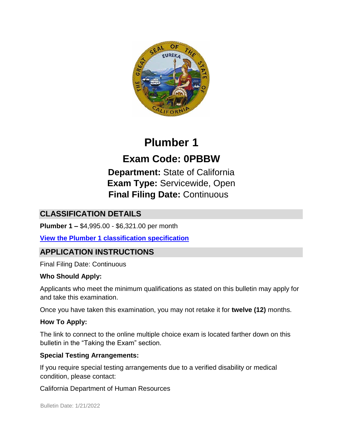

# **Plumber 1**

# **Exam Code: 0PBBW**

**Department:** State of California **Exam Type:** Servicewide, Open **Final Filing Date:** Continuous

# **CLASSIFICATION DETAILS**

**Plumber 1 –** \$4,995.00 - \$6,321.00 per month

**[View the](https://www.calhr.ca.gov/state-hr-professionals/Pages/6553.aspx) [Plumber 1](https://www.calhr.ca.gov/state-hr-professionals/Pages/6553.aspx) [classification specification](https://www.calhr.ca.gov/state-hr-professionals/Pages/6553.aspx)**

# **APPLICATION INSTRUCTIONS**

Final Filing Date: Continuous

### **Who Should Apply:**

Applicants who meet the minimum qualifications as stated on this bulletin may apply for and take this examination.

Once you have taken this examination, you may not retake it for **twelve (12)** months.

### **How To Apply:**

The link to connect to the online multiple choice exam is located farther down on this bulletin in the "Taking the Exam" section.

### **Special Testing Arrangements:**

If you require special testing arrangements due to a verified disability or medical condition, please contact:

California Department of Human Resources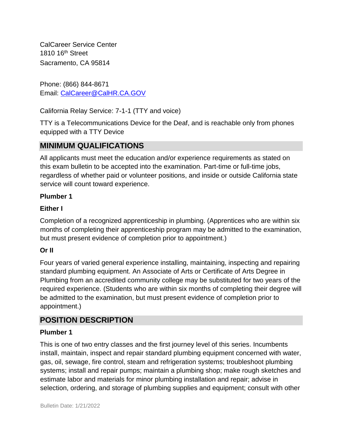CalCareer Service Center 1810 16th Street Sacramento, CA 95814

Phone: (866) 844-8671 Email: CalCareer@CalHR.CA.GOV

California Relay Service: 7-1-1 (TTY and voice)

TTY is a Telecommunications Device for the Deaf, and is reachable only from phones equipped with a TTY Device

# **MINIMUM QUALIFICATIONS**

All applicants must meet the education and/or experience requirements as stated on this exam bulletin to be accepted into the examination. Part-time or full-time jobs, regardless of whether paid or volunteer positions, and inside or outside California state service will count toward experience.

#### **Plumber 1**

#### **Either I**

Completion of a recognized apprenticeship in plumbing. (Apprentices who are within six months of completing their apprenticeship program may be admitted to the examination, but must present evidence of completion prior to appointment.)

### **Or II**

Four years of varied general experience installing, maintaining, inspecting and repairing standard plumbing equipment. An Associate of Arts or Certificate of Arts Degree in Plumbing from an accredited community college may be substituted for two years of the required experience. (Students who are within six months of completing their degree will be admitted to the examination, but must present evidence of completion prior to appointment.)

## **POSITION DESCRIPTION**

#### **Plumber 1**

This is one of two entry classes and the first journey level of this series. Incumbents install, maintain, inspect and repair standard plumbing equipment concerned with water, gas, oil, sewage, fire control, steam and refrigeration systems; troubleshoot plumbing systems; install and repair pumps; maintain a plumbing shop; make rough sketches and estimate labor and materials for minor plumbing installation and repair; advise in selection, ordering, and storage of plumbing supplies and equipment; consult with other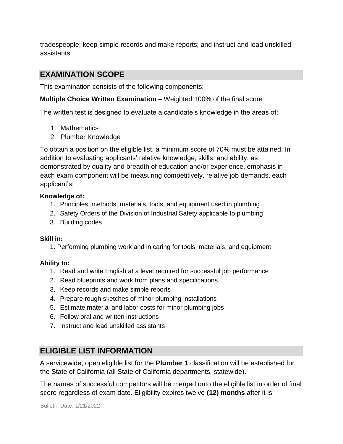tradespeople; keep simple records and make reports; and instruct and lead unskilled assistants.

## **EXAMINATION SCOPE**

This examination consists of the following components:

**Multiple Choice Written Examination** – Weighted 100% of the final score

The written test is designed to evaluate a candidate's knowledge in the areas of:

- 1. Mathematics
- 2. Plumber Knowledge

To obtain a position on the eligible list, a minimum score of 70% must be attained. In addition to evaluating applicants' relative knowledge, skills, and ability, as demonstrated by quality and breadth of education and/or experience, emphasis in each exam component will be measuring competitively, relative job demands, each applicant's:

#### **Knowledge of:**

- 1. Principles, methods, materials, tools, and equipment used in plumbing
- 2. Safety Orders of the Division of Industrial Safety applicable to plumbing
- 3. Building codes

#### **Skill in:**

1. Performing plumbing work and in caring for tools, materials, and equipment

#### **Ability to:**

- 1. Read and write English at a level required for successful job performance
- 2. Read blueprints and work from plans and specifications
- 3. Keep records and make simple reports
- 4. Prepare rough sketches of minor plumbing installations
- 5. Estimate material and labor costs for minor plumbing jobs
- 6. Follow oral and written instructions
- 7. Instruct and lead unskilled assistants

## **ELIGIBLE LIST INFORMATION**

A servicewide, open eligible list for the **Plumber 1** classification will be established for the State of California (all State of California departments, statewide).

The names of successful competitors will be merged onto the eligible list in order of final score regardless of exam date. Eligibility expires twelve **(12) months** after it is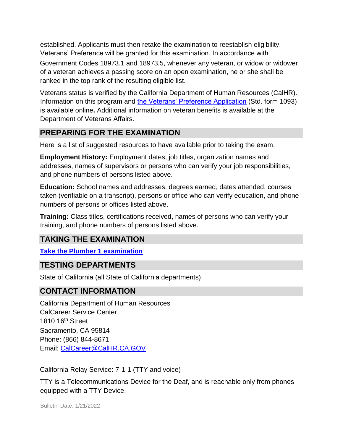established. Applicants must then retake the examination to reestablish eligibility. Veterans' Preference will be granted for this examination. In accordance with

Government Codes 18973.1 and 18973.5, whenever any veteran, or widow or widower of a veteran achieves a passing score on an open examination, he or she shall be ranked in the top rank of the resulting eligible list.

Veterans status is verified by the California Department of Human Resources (CalHR). Information on this program and [the Veterans' Preference Application](https://www.jobs.ca.gov/CalHRPublic/Landing/Jobs/VeteransInformation.aspx) [\(](https://www.jobs.ca.gov/CalHRPublic/Landing/Jobs/VeteransInformation.aspx)Std. form 1093) is available online**.** Additional information on veteran benefits is available at the Department of Veterans Affairs.

## **PREPARING FOR THE EXAMINATION**

Here is a list of suggested resources to have available prior to taking the exam.

**Employment History:** Employment dates, job titles, organization names and addresses, names of supervisors or persons who can verify your job responsibilities, and phone numbers of persons listed above.

**Education:** School names and addresses, degrees earned, dates attended, courses taken (verifiable on a transcript), persons or office who can verify education, and phone numbers of persons or offices listed above.

**Training:** Class titles, certifications received, names of persons who can verify your training, and phone numbers of persons listed above.

### **TAKING THE EXAMINATION**

**[Take the](https://www.jobs.ca.gov/CalHRPublic/Login.aspx?ExamId=0PBBW) [Plumber 1](https://www.jobs.ca.gov/CalHRPublic/Login.aspx?ExamId=0PBBW) [examination](https://www.jobs.ca.gov/CalHRPublic/Login.aspx?ExamId=0PBBW)**

### **TESTING DEPARTMENTS**

State of California (all State of California departments)

## **CONTACT INFORMATION**

California Department of Human Resources CalCareer Service Center 1810 16<sup>th</sup> Street Sacramento, CA 95814 Phone: (866) 844-8671 Email: CalCareer@CalHR.CA.GOV

California Relay Service: 7-1-1 (TTY and voice)

TTY is a Telecommunications Device for the Deaf, and is reachable only from phones equipped with a TTY Device.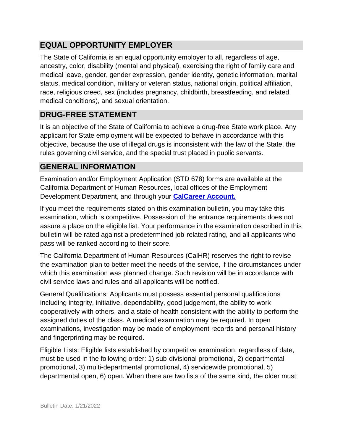# **EQUAL OPPORTUNITY EMPLOYER**

The State of California is an equal opportunity employer to all, regardless of age, ancestry, color, disability (mental and physical), exercising the right of family care and medical leave, gender, gender expression, gender identity, genetic information, marital status, medical condition, military or veteran status, national origin, political affiliation, race, religious creed, sex (includes pregnancy, childbirth, breastfeeding, and related medical conditions), and sexual orientation.

# **DRUG-FREE STATEMENT**

It is an objective of the State of California to achieve a drug-free State work place. Any applicant for State employment will be expected to behave in accordance with this objective, because the use of illegal drugs is inconsistent with the law of the State, the rules governing civil service, and the special trust placed in public servants.

# **GENERAL INFORMATION**

Examination and/or Employment Application (STD 678) forms are available at the California Department of Human Resources, local offices of the Employment Development Department, and through your **[CalCareer Account.](http://www.jobs.ca.gov/)**

If you meet the requirements stated on this examination bulletin, you may take this examination, which is competitive. Possession of the entrance requirements does not assure a place on the eligible list. Your performance in the examination described in this bulletin will be rated against a predetermined job-related rating, and all applicants who pass will be ranked according to their score.

The California Department of Human Resources (CalHR) reserves the right to revise the examination plan to better meet the needs of the service, if the circumstances under which this examination was planned change. Such revision will be in accordance with civil service laws and rules and all applicants will be notified.

General Qualifications: Applicants must possess essential personal qualifications including integrity, initiative, dependability, good judgement, the ability to work cooperatively with others, and a state of health consistent with the ability to perform the assigned duties of the class. A medical examination may be required. In open examinations, investigation may be made of employment records and personal history and fingerprinting may be required.

Eligible Lists: Eligible lists established by competitive examination, regardless of date, must be used in the following order: 1) sub-divisional promotional, 2) departmental promotional, 3) multi-departmental promotional, 4) servicewide promotional, 5) departmental open, 6) open. When there are two lists of the same kind, the older must